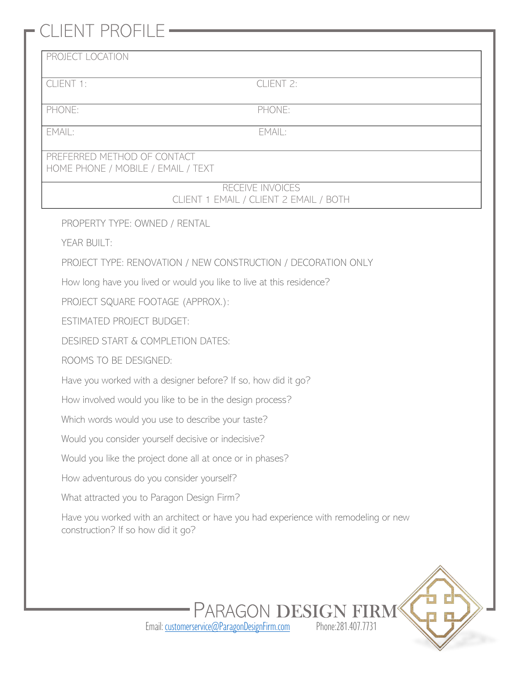## CLIENT PROFILE

## PROPERTY TYPE: OWNED / RENTAL YEAR BUILT: PROJECT TYPE: RENOVATION / NEW CONSTRUCTION / DECORATION ONLY How long have you lived or would you like to live at this residence? PROJECT SQUARE FOOTAGE (APPROX.): ESTIMATED PROJECT BUDGET: DESIRED START & COMPLETION DATES: ROOMS TO BE DESIGNED: Have you worked with a designer before? If so, how did it go? How involved would you like to be in the design process? Which words would you use to describe your taste? Would you consider yourself decisive or indecisive? Would you like the project done all at once or in phases? How adventurous do you consider yourself? What attracted you to Paragon Design Firm? Have you worked with an architect or have you had experience with remodeling or new construction? If so how did it go? PROJECT LOCATION CLIENT 1: CLIENT 2: PHONE: PHONE: EMAIL: EMAIL: PREFERRED METHOD OF CONTACT HOME PHONE / MOBILE / EMAIL / TEXT RECEIVE INVOICES CLIENT 1 EMAIL / CLIENT 2 EMAIL / BOTH



Email[: customerservice@ParagonDesignFirm.com](mailto:customerservice@ParagonDesignFirm.com) Phone:281.407.7731

PARAGON DESIGN F